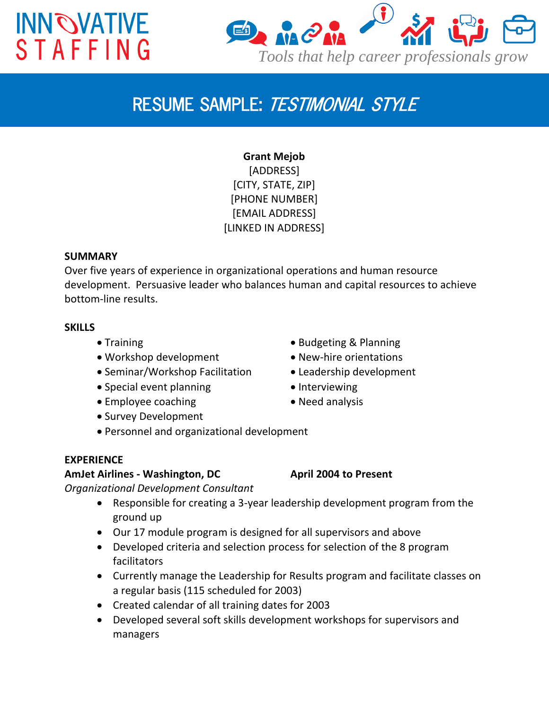# **INN OVATIVE STAFFING**



## *RESUME SAMPLE: TESTIMONIAL STYLE*

**Grant Mejob** [ADDRESS] [CITY, STATE, ZIP] [PHONE NUMBER] [EMAIL ADDRESS] [LINKED IN ADDRESS]

### **SUMMARY**

Over five years of experience in organizational operations and human resource development. Persuasive leader who balances human and capital resources to achieve bottom-line results.

### **SKILLS**

- 
- Workshop development New-hire orientations
- Seminar/Workshop Facilitation Leadership development
- Special event planning **Interviewing**
- Employee coaching **Company** Need analysis
- Survey Development
- Training **Contract Contract Contract Contract Contract Contract Contract Contract Contract Contract Contract Contract Contract Contract Contract Contract Contract Contract Contract Contract Contract Contract Contract Con** 
	-
	-
	-
	-
- Personnel and organizational development

#### **EXPERIENCE**

### **AmJet Airlines - Washington, DC April 2004 to Present**

*Organizational Development Consultant*

- Responsible for creating a 3-year leadership development program from the ground up
- Our 17 module program is designed for all supervisors and above
- Developed criteria and selection process for selection of the 8 program facilitators
- Currently manage the Leadership for Results program and facilitate classes on a regular basis (115 scheduled for 2003)
- Created calendar of all training dates for 2003
- Developed several soft skills development workshops for supervisors and managers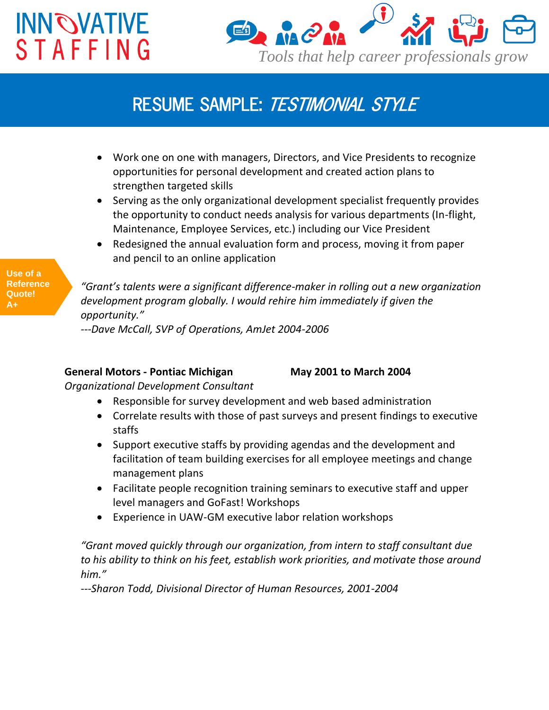# **INN OVATIVE STAFFING**



### *RESUME SAMPLE: TESTIMONIAL STYLE*

- Work one on one with managers, Directors, and Vice Presidents to recognize opportunities for personal development and created action plans to strengthen targeted skills
- Serving as the only organizational development specialist frequently provides the opportunity to conduct needs analysis for various departments (In-flight, Maintenance, Employee Services, etc.) including our Vice President
- Redesigned the annual evaluation form and process, moving it from paper and pencil to an online application

**Use of a Reference Quote! A+**

*"Grant's talents were a significant difference-maker in rolling out a new organization development program globally. I would rehire him immediately if given the opportunity."*

*---Dave McCall, SVP of Operations, AmJet 2004-2006*

### **General Motors - Pontiac Michigan May 2001 to March 2004**

*Organizational Development Consultant*

- Responsible for survey development and web based administration
- Correlate results with those of past surveys and present findings to executive staffs
- Support executive staffs by providing agendas and the development and facilitation of team building exercises for all employee meetings and change management plans
- Facilitate people recognition training seminars to executive staff and upper level managers and GoFast! Workshops
- Experience in UAW-GM executive labor relation workshops

*"Grant moved quickly through our organization, from intern to staff consultant due to his ability to think on his feet, establish work priorities, and motivate those around him."*

*---Sharon Todd, Divisional Director of Human Resources, 2001-2004*